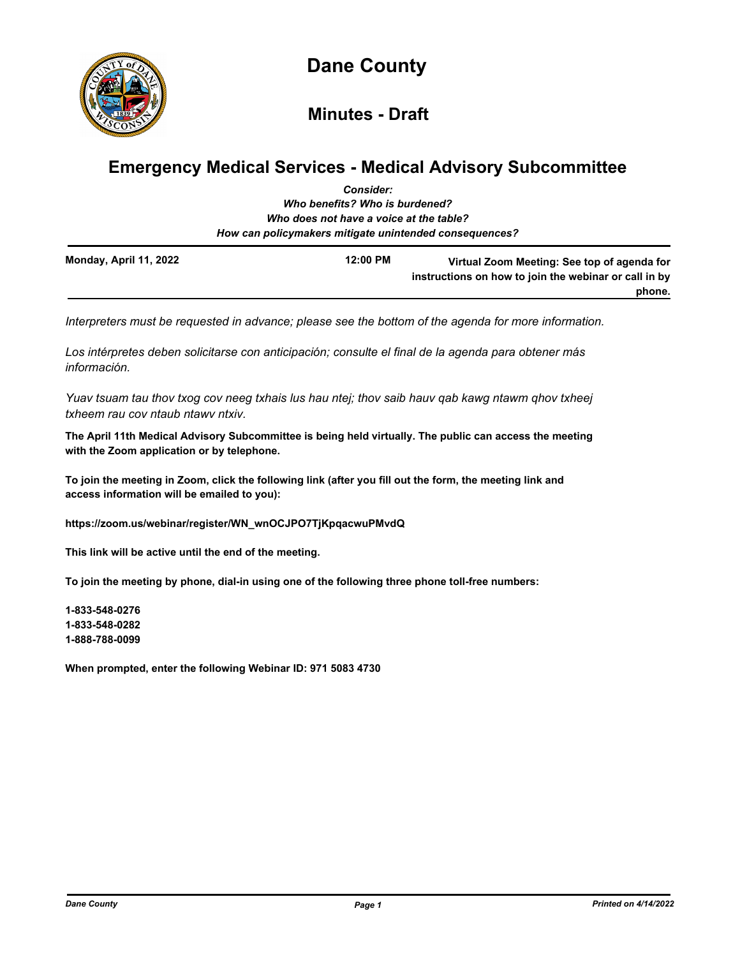

**Minutes - Draft**

# **Emergency Medical Services - Medical Advisory Subcommittee**

|                        | <b>Consider:</b>                                       |                                                                                                      |
|------------------------|--------------------------------------------------------|------------------------------------------------------------------------------------------------------|
|                        | Who benefits? Who is burdened?                         |                                                                                                      |
|                        | Who does not have a voice at the table?                |                                                                                                      |
|                        | How can policymakers mitigate unintended consequences? |                                                                                                      |
| Monday, April 11, 2022 | 12:00 PM                                               | Virtual Zoom Meeting: See top of agenda for<br>instructions on how to join the webinar or call in by |
|                        |                                                        | phone.                                                                                               |

*Interpreters must be requested in advance; please see the bottom of the agenda for more information.*

*Los intérpretes deben solicitarse con anticipación; consulte el final de la agenda para obtener más información.*

*Yuav tsuam tau thov txog cov neeg txhais lus hau ntej; thov saib hauv qab kawg ntawm qhov txheej txheem rau cov ntaub ntawv ntxiv.*

**The April 11th Medical Advisory Subcommittee is being held virtually. The public can access the meeting with the Zoom application or by telephone.**

**To join the meeting in Zoom, click the following link (after you fill out the form, the meeting link and access information will be emailed to you):**

**https://zoom.us/webinar/register/WN\_wnOCJPO7TjKpqacwuPMvdQ**

**This link will be active until the end of the meeting.**

**To join the meeting by phone, dial-in using one of the following three phone toll-free numbers:**

**1-833-548-0276 1-833-548-0282 1-888-788-0099**

**When prompted, enter the following Webinar ID: 971 5083 4730**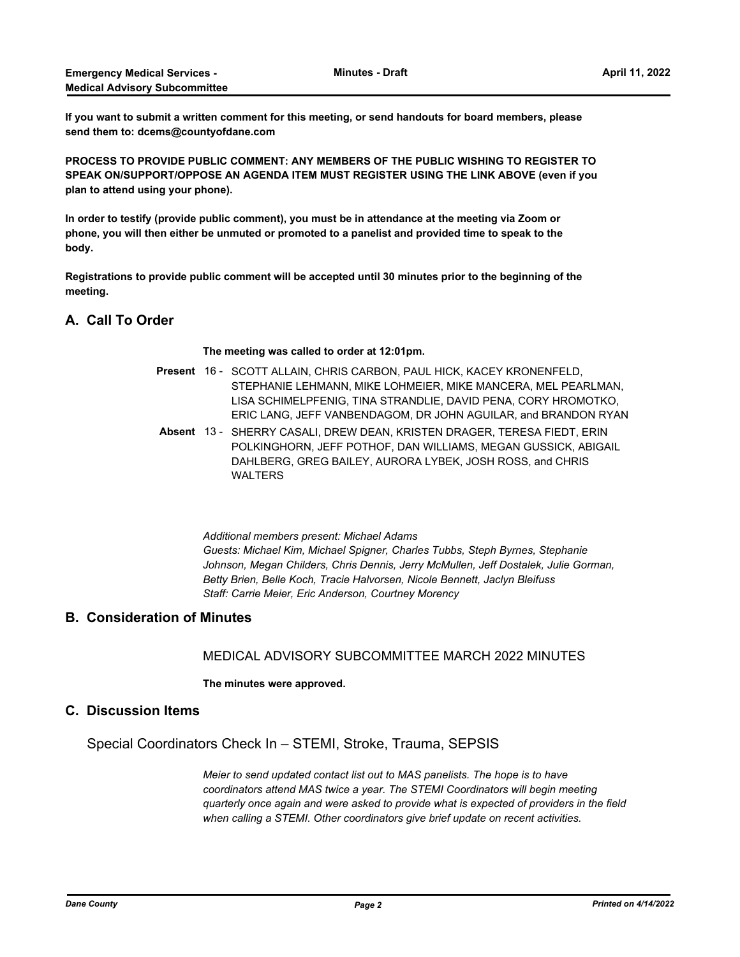**If you want to submit a written comment for this meeting, or send handouts for board members, please send them to: dcems@countyofdane.com**

**PROCESS TO PROVIDE PUBLIC COMMENT: ANY MEMBERS OF THE PUBLIC WISHING TO REGISTER TO SPEAK ON/SUPPORT/OPPOSE AN AGENDA ITEM MUST REGISTER USING THE LINK ABOVE (even if you plan to attend using your phone).**

**In order to testify (provide public comment), you must be in attendance at the meeting via Zoom or phone, you will then either be unmuted or promoted to a panelist and provided time to speak to the body.**

**Registrations to provide public comment will be accepted until 30 minutes prior to the beginning of the meeting.**

### **A. Call To Order**

**The meeting was called to order at 12:01pm.**

- Present 16 SCOTT ALLAIN, CHRIS CARBON, PAUL HICK, KACEY KRONENFELD, STEPHANIE LEHMANN, MIKE LOHMEIER, MIKE MANCERA, MEL PEARLMAN, LISA SCHIMELPFENIG, TINA STRANDLIE, DAVID PENA, CORY HROMOTKO, ERIC LANG, JEFF VANBENDAGOM, DR JOHN AGUILAR, and BRANDON RYAN
- Absent 13 SHERRY CASALI, DREW DEAN, KRISTEN DRAGER, TERESA FIEDT, ERIN POLKINGHORN, JEFF POTHOF, DAN WILLIAMS, MEGAN GUSSICK, ABIGAIL DAHLBERG, GREG BAILEY, AURORA LYBEK, JOSH ROSS, and CHRIS WALTERS

*Additional members present: Michael Adams Guests: Michael Kim, Michael Spigner, Charles Tubbs, Steph Byrnes, Stephanie Johnson, Megan Childers, Chris Dennis, Jerry McMullen, Jeff Dostalek, Julie Gorman, Betty Brien, Belle Koch, Tracie Halvorsen, Nicole Bennett, Jaclyn Bleifuss Staff: Carrie Meier, Eric Anderson, Courtney Morency*

## **B. Consideration of Minutes**

MEDICAL ADVISORY SUBCOMMITTEE MARCH 2022 MINUTES

#### **The minutes were approved.**

#### **C. Discussion Items**

Special Coordinators Check In – STEMI, Stroke, Trauma, SEPSIS

*Meier to send updated contact list out to MAS panelists. The hope is to have coordinators attend MAS twice a year. The STEMI Coordinators will begin meeting quarterly once again and were asked to provide what is expected of providers in the field when calling a STEMI. Other coordinators give brief update on recent activities.*